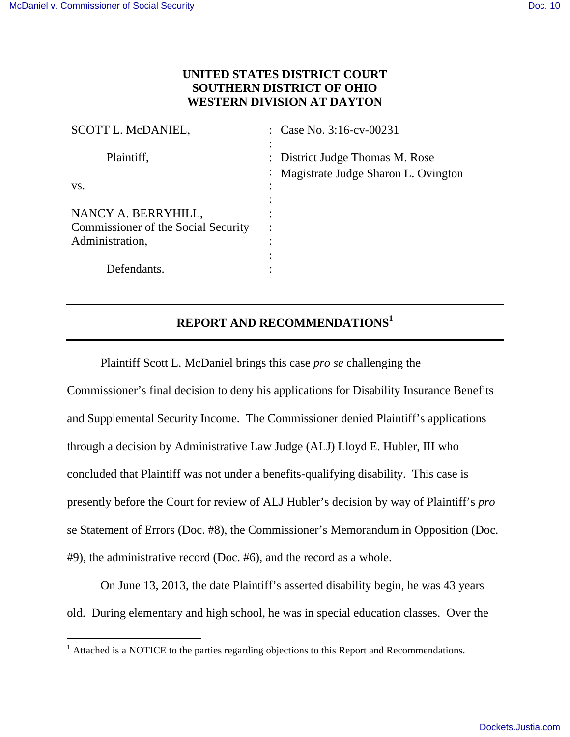## **UNITED STATES DISTRICT COURT SOUTHERN DISTRICT OF OHIO WESTERN DIVISION AT DAYTON**

| SCOTT L. McDANIEL,                                                            | : Case No. $3:16$ -cv-00231                                              |
|-------------------------------------------------------------------------------|--------------------------------------------------------------------------|
| Plaintiff,                                                                    | : District Judge Thomas M. Rose<br>: Magistrate Judge Sharon L. Ovington |
| VS.                                                                           |                                                                          |
| NANCY A. BERRYHILL,<br>Commissioner of the Social Security<br>Administration, |                                                                          |
| Defendants.                                                                   |                                                                          |

## **REPORT AND RECOMMENDATIONS<sup>1</sup>**

Plaintiff Scott L. McDaniel brings this case *pro se* challenging the

Commissioner's final decision to deny his applications for Disability Insurance Benefits and Supplemental Security Income. The Commissioner denied Plaintiff's applications through a decision by Administrative Law Judge (ALJ) Lloyd E. Hubler, III who concluded that Plaintiff was not under a benefits-qualifying disability. This case is presently before the Court for review of ALJ Hubler's decision by way of Plaintiff's *pro*  se Statement of Errors (Doc. #8), the Commissioner's Memorandum in Opposition (Doc. #9), the administrative record (Doc. #6), and the record as a whole.

 On June 13, 2013, the date Plaintiff's asserted disability begin, he was 43 years old. During elementary and high school, he was in special education classes. Over the

<sup>&</sup>lt;sup>1</sup> Attached is a NOTICE to the parties regarding objections to this Report and Recommendations.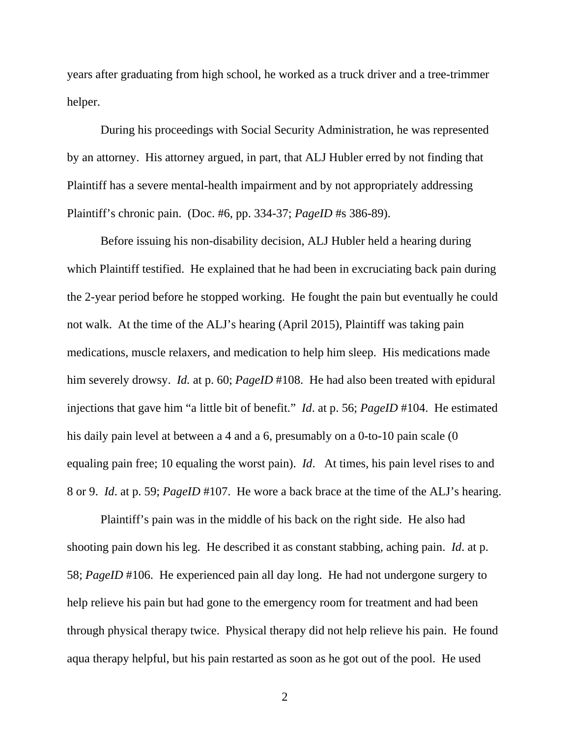years after graduating from high school, he worked as a truck driver and a tree-trimmer helper.

 During his proceedings with Social Security Administration, he was represented by an attorney. His attorney argued, in part, that ALJ Hubler erred by not finding that Plaintiff has a severe mental-health impairment and by not appropriately addressing Plaintiff's chronic pain. (Doc. #6, pp. 334-37; *PageID* #s 386-89).

 Before issuing his non-disability decision, ALJ Hubler held a hearing during which Plaintiff testified. He explained that he had been in excruciating back pain during the 2-year period before he stopped working. He fought the pain but eventually he could not walk. At the time of the ALJ's hearing (April 2015), Plaintiff was taking pain medications, muscle relaxers, and medication to help him sleep. His medications made him severely drowsy. *Id.* at p. 60; *PageID* #108. He had also been treated with epidural injections that gave him "a little bit of benefit." *Id*. at p. 56; *PageID* #104. He estimated his daily pain level at between a 4 and a 6, presumably on a 0-to-10 pain scale (0 equaling pain free; 10 equaling the worst pain). *Id*. At times, his pain level rises to and 8 or 9. *Id*. at p. 59; *PageID* #107. He wore a back brace at the time of the ALJ's hearing.

 Plaintiff's pain was in the middle of his back on the right side. He also had shooting pain down his leg. He described it as constant stabbing, aching pain. *Id*. at p. 58; *PageID* #106. He experienced pain all day long. He had not undergone surgery to help relieve his pain but had gone to the emergency room for treatment and had been through physical therapy twice. Physical therapy did not help relieve his pain. He found aqua therapy helpful, but his pain restarted as soon as he got out of the pool. He used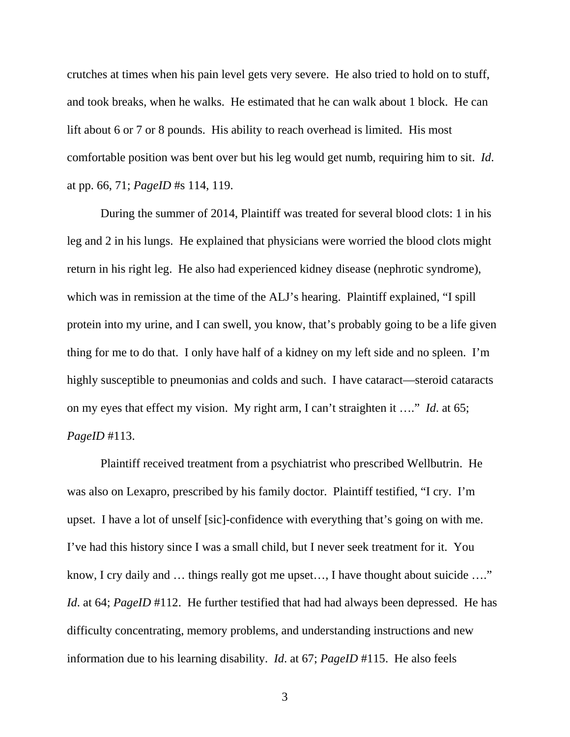crutches at times when his pain level gets very severe. He also tried to hold on to stuff, and took breaks, when he walks. He estimated that he can walk about 1 block. He can lift about 6 or 7 or 8 pounds. His ability to reach overhead is limited. His most comfortable position was bent over but his leg would get numb, requiring him to sit. *Id*. at pp. 66, 71; *PageID* #s 114, 119.

 During the summer of 2014, Plaintiff was treated for several blood clots: 1 in his leg and 2 in his lungs. He explained that physicians were worried the blood clots might return in his right leg. He also had experienced kidney disease (nephrotic syndrome), which was in remission at the time of the ALJ's hearing. Plaintiff explained, "I spill protein into my urine, and I can swell, you know, that's probably going to be a life given thing for me to do that. I only have half of a kidney on my left side and no spleen. I'm highly susceptible to pneumonias and colds and such. I have cataract—steroid cataracts on my eyes that effect my vision. My right arm, I can't straighten it …." *Id*. at 65; *PageID* #113.

 Plaintiff received treatment from a psychiatrist who prescribed Wellbutrin. He was also on Lexapro, prescribed by his family doctor. Plaintiff testified, "I cry. I'm upset. I have a lot of unself [sic]-confidence with everything that's going on with me. I've had this history since I was a small child, but I never seek treatment for it. You know, I cry daily and … things really got me upset…, I have thought about suicide …." *Id.* at 64; *PageID* #112. He further testified that had had always been depressed. He has difficulty concentrating, memory problems, and understanding instructions and new information due to his learning disability. *Id*. at 67; *PageID* #115. He also feels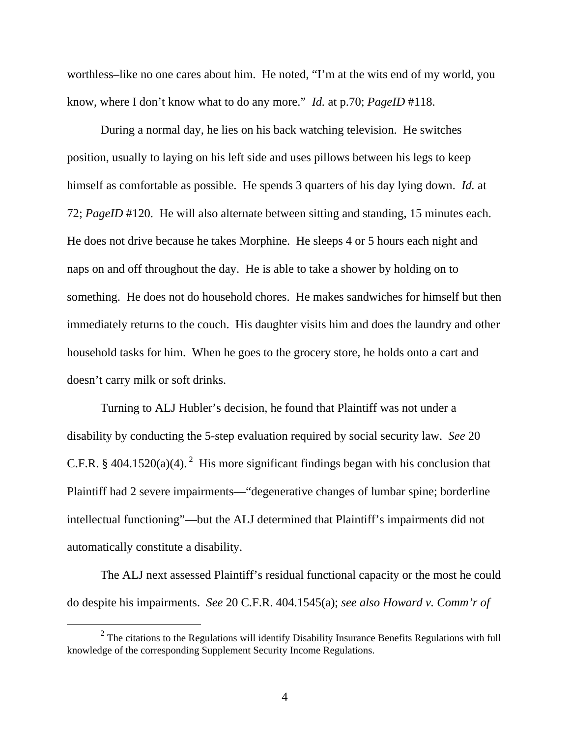worthless–like no one cares about him. He noted, "I'm at the wits end of my world, you know, where I don't know what to do any more." *Id.* at p.70; *PageID* #118.

 During a normal day, he lies on his back watching television. He switches position, usually to laying on his left side and uses pillows between his legs to keep himself as comfortable as possible. He spends 3 quarters of his day lying down. *Id.* at 72; *PageID* #120. He will also alternate between sitting and standing, 15 minutes each. He does not drive because he takes Morphine. He sleeps 4 or 5 hours each night and naps on and off throughout the day. He is able to take a shower by holding on to something. He does not do household chores. He makes sandwiches for himself but then immediately returns to the couch. His daughter visits him and does the laundry and other household tasks for him. When he goes to the grocery store, he holds onto a cart and doesn't carry milk or soft drinks.

 Turning to ALJ Hubler's decision, he found that Plaintiff was not under a disability by conducting the 5-step evaluation required by social security law. *See* 20 C.F.R. § 404.1520(a)(4).<sup>2</sup> His more significant findings began with his conclusion that Plaintiff had 2 severe impairments—"degenerative changes of lumbar spine; borderline intellectual functioning"—but the ALJ determined that Plaintiff's impairments did not automatically constitute a disability.

 The ALJ next assessed Plaintiff's residual functional capacity or the most he could do despite his impairments. *See* 20 C.F.R. 404.1545(a); *see also Howard v. Comm'r of* 

 $2<sup>2</sup>$  The citations to the Regulations will identify Disability Insurance Benefits Regulations with full knowledge of the corresponding Supplement Security Income Regulations.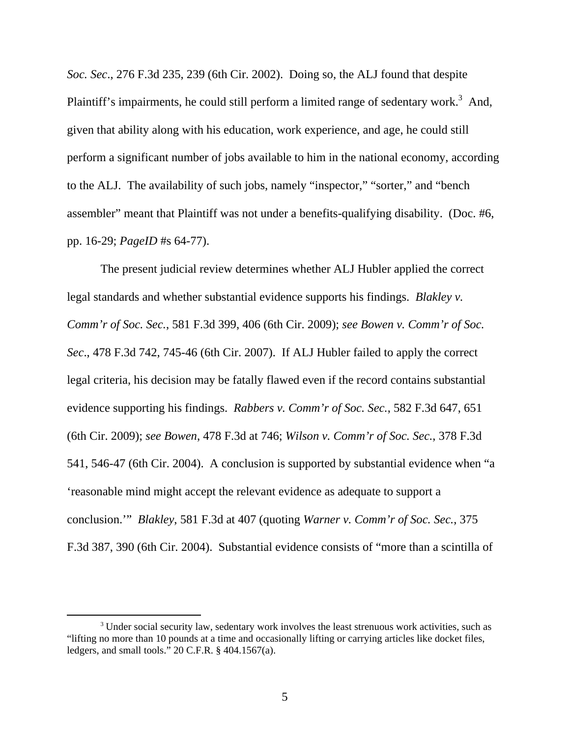*Soc. Sec*., 276 F.3d 235, 239 (6th Cir. 2002). Doing so, the ALJ found that despite Plaintiff's impairments, he could still perform a limited range of sedentary work.<sup>3</sup> And, given that ability along with his education, work experience, and age, he could still perform a significant number of jobs available to him in the national economy, according to the ALJ. The availability of such jobs, namely "inspector," "sorter," and "bench assembler" meant that Plaintiff was not under a benefits-qualifying disability. (Doc. #6, pp. 16-29; *PageID* #s 64-77).

 The present judicial review determines whether ALJ Hubler applied the correct legal standards and whether substantial evidence supports his findings. *Blakley v. Comm'r of Soc. Sec.*, 581 F.3d 399, 406 (6th Cir. 2009); *see Bowen v. Comm'r of Soc. Sec*., 478 F.3d 742, 745-46 (6th Cir. 2007). If ALJ Hubler failed to apply the correct legal criteria, his decision may be fatally flawed even if the record contains substantial evidence supporting his findings. *Rabbers v. Comm'r of Soc. Sec.*, 582 F.3d 647, 651 (6th Cir. 2009); *see Bowen*, 478 F.3d at 746; *Wilson v. Comm'r of Soc. Sec.*, 378 F.3d 541, 546-47 (6th Cir. 2004). A conclusion is supported by substantial evidence when "a 'reasonable mind might accept the relevant evidence as adequate to support a conclusion.'" *Blakley*, 581 F.3d at 407 (quoting *Warner v. Comm'r of Soc. Sec.*, 375 F.3d 387, 390 (6th Cir. 2004). Substantial evidence consists of "more than a scintilla of

<sup>&</sup>lt;sup>3</sup> Under social security law, sedentary work involves the least strenuous work activities, such as "lifting no more than 10 pounds at a time and occasionally lifting or carrying articles like docket files, ledgers, and small tools." 20 C.F.R. § 404.1567(a).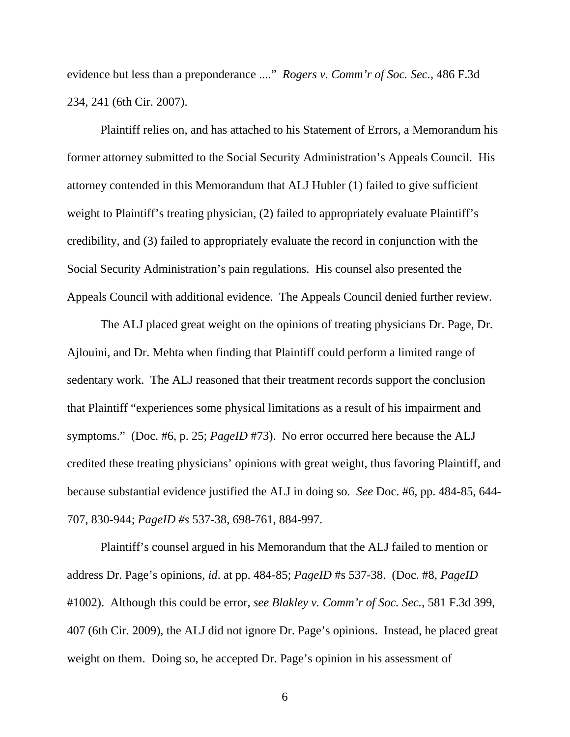evidence but less than a preponderance ...." *Rogers v. Comm'r of Soc. Sec.*, 486 F.3d 234, 241 (6th Cir. 2007).

 Plaintiff relies on, and has attached to his Statement of Errors, a Memorandum his former attorney submitted to the Social Security Administration's Appeals Council. His attorney contended in this Memorandum that ALJ Hubler (1) failed to give sufficient weight to Plaintiff's treating physician, (2) failed to appropriately evaluate Plaintiff's credibility, and (3) failed to appropriately evaluate the record in conjunction with the Social Security Administration's pain regulations. His counsel also presented the Appeals Council with additional evidence. The Appeals Council denied further review.

 The ALJ placed great weight on the opinions of treating physicians Dr. Page, Dr. Ajlouini, and Dr. Mehta when finding that Plaintiff could perform a limited range of sedentary work. The ALJ reasoned that their treatment records support the conclusion that Plaintiff "experiences some physical limitations as a result of his impairment and symptoms." (Doc. #6, p. 25; *PageID* #73). No error occurred here because the ALJ credited these treating physicians' opinions with great weight, thus favoring Plaintiff, and because substantial evidence justified the ALJ in doing so. *See* Doc. #6, pp. 484-85, 644- 707, 830-944; *PageID #s* 537-38, 698-761, 884-997.

 Plaintiff's counsel argued in his Memorandum that the ALJ failed to mention or address Dr. Page's opinions, *id*. at pp. 484-85; *PageID* #s 537-38. (Doc. #8, *PageID* #1002). Although this could be error, *see Blakley v. Comm'r of Soc. Sec.*, 581 F.3d 399, 407 (6th Cir. 2009), the ALJ did not ignore Dr. Page's opinions. Instead, he placed great weight on them. Doing so, he accepted Dr. Page's opinion in his assessment of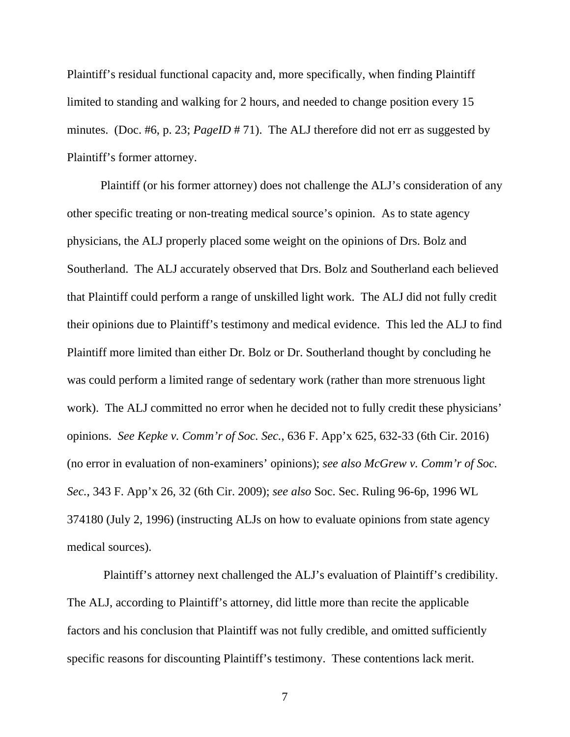Plaintiff's residual functional capacity and, more specifically, when finding Plaintiff limited to standing and walking for 2 hours, and needed to change position every 15 minutes. (Doc. #6, p. 23; *PageID* # 71). The ALJ therefore did not err as suggested by Plaintiff's former attorney.

 Plaintiff (or his former attorney) does not challenge the ALJ's consideration of any other specific treating or non-treating medical source's opinion. As to state agency physicians, the ALJ properly placed some weight on the opinions of Drs. Bolz and Southerland. The ALJ accurately observed that Drs. Bolz and Southerland each believed that Plaintiff could perform a range of unskilled light work. The ALJ did not fully credit their opinions due to Plaintiff's testimony and medical evidence. This led the ALJ to find Plaintiff more limited than either Dr. Bolz or Dr. Southerland thought by concluding he was could perform a limited range of sedentary work (rather than more strenuous light work). The ALJ committed no error when he decided not to fully credit these physicians' opinions. *See Kepke v. Comm'r of Soc. Sec.*, 636 F. App'x 625, 632-33 (6th Cir. 2016) (no error in evaluation of non-examiners' opinions); *see also McGrew v. Comm'r of Soc. Sec.*, 343 F. App'x 26, 32 (6th Cir. 2009); *see also* Soc. Sec. Ruling 96-6p, 1996 WL 374180 (July 2, 1996) (instructing ALJs on how to evaluate opinions from state agency medical sources).

 Plaintiff's attorney next challenged the ALJ's evaluation of Plaintiff's credibility. The ALJ, according to Plaintiff's attorney, did little more than recite the applicable factors and his conclusion that Plaintiff was not fully credible, and omitted sufficiently specific reasons for discounting Plaintiff's testimony. These contentions lack merit.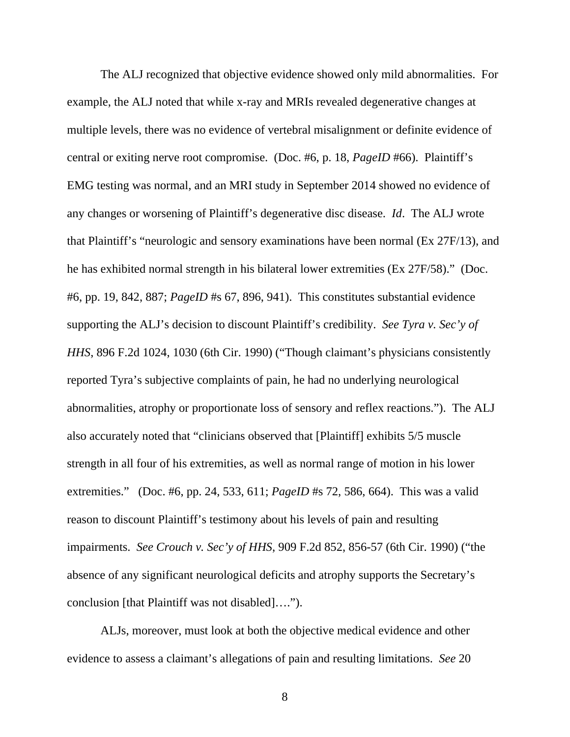The ALJ recognized that objective evidence showed only mild abnormalities. For example, the ALJ noted that while x-ray and MRIs revealed degenerative changes at multiple levels, there was no evidence of vertebral misalignment or definite evidence of central or exiting nerve root compromise. (Doc. #6, p. 18, *PageID* #66). Plaintiff's EMG testing was normal, and an MRI study in September 2014 showed no evidence of any changes or worsening of Plaintiff's degenerative disc disease. *Id*. The ALJ wrote that Plaintiff's "neurologic and sensory examinations have been normal (Ex 27F/13), and he has exhibited normal strength in his bilateral lower extremities (Ex 27F/58)." (Doc. #6, pp. 19, 842, 887; *PageID* #s 67, 896, 941). This constitutes substantial evidence supporting the ALJ's decision to discount Plaintiff's credibility. *See Tyra v. Sec'y of HHS*, 896 F.2d 1024, 1030 (6th Cir. 1990) ("Though claimant's physicians consistently reported Tyra's subjective complaints of pain, he had no underlying neurological abnormalities, atrophy or proportionate loss of sensory and reflex reactions."). The ALJ also accurately noted that "clinicians observed that [Plaintiff] exhibits 5/5 muscle strength in all four of his extremities, as well as normal range of motion in his lower extremities." (Doc. #6, pp. 24, 533, 611; *PageID* #s 72, 586, 664). This was a valid reason to discount Plaintiff's testimony about his levels of pain and resulting impairments. *See Crouch v. Sec'y of HHS*, 909 F.2d 852, 856-57 (6th Cir. 1990) ("the absence of any significant neurological deficits and atrophy supports the Secretary's conclusion [that Plaintiff was not disabled]….").

 ALJs, moreover, must look at both the objective medical evidence and other evidence to assess a claimant's allegations of pain and resulting limitations. *See* 20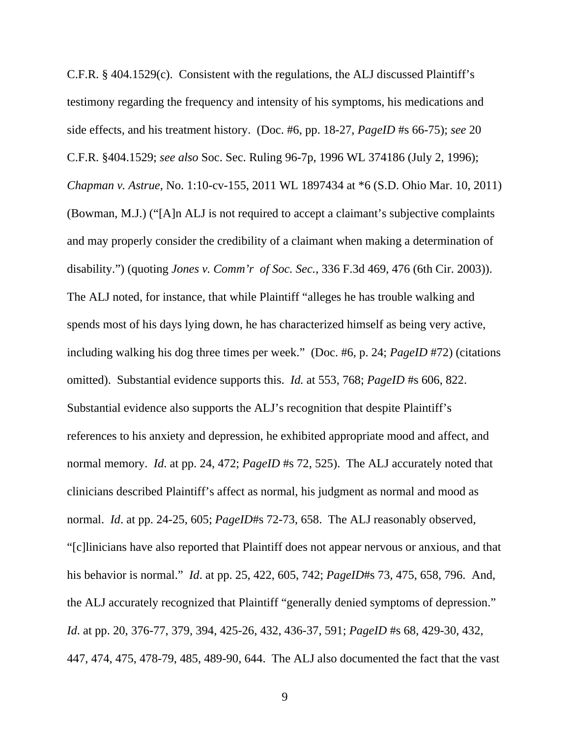C.F.R. § 404.1529(c). Consistent with the regulations, the ALJ discussed Plaintiff's testimony regarding the frequency and intensity of his symptoms, his medications and side effects, and his treatment history. (Doc. #6, pp. 18-27, *PageID* #s 66-75); *see* 20 C.F.R. §404.1529; *see also* Soc. Sec. Ruling 96-7p, 1996 WL 374186 (July 2, 1996); *Chapman v. Astrue*, No. 1:10-cv-155, 2011 WL 1897434 at \*6 (S.D. Ohio Mar. 10, 2011) (Bowman, M.J.) ("[A]n ALJ is not required to accept a claimant's subjective complaints and may properly consider the credibility of a claimant when making a determination of disability.") (quoting *Jones v. Comm'r of Soc. Sec.*, 336 F.3d 469, 476 (6th Cir. 2003)). The ALJ noted, for instance, that while Plaintiff "alleges he has trouble walking and spends most of his days lying down, he has characterized himself as being very active, including walking his dog three times per week." (Doc. #6, p. 24; *PageID* #72) (citations omitted). Substantial evidence supports this. *Id.* at 553, 768; *PageID* #s 606, 822. Substantial evidence also supports the ALJ's recognition that despite Plaintiff's references to his anxiety and depression, he exhibited appropriate mood and affect, and normal memory. *Id*. at pp. 24, 472; *PageID* #s 72, 525). The ALJ accurately noted that clinicians described Plaintiff's affect as normal, his judgment as normal and mood as normal. *Id*. at pp. 24-25, 605; *PageID*#s 72-73, 658. The ALJ reasonably observed, "[c]linicians have also reported that Plaintiff does not appear nervous or anxious, and that his behavior is normal." *Id*. at pp. 25, 422, 605, 742; *PageID*#s 73, 475, 658, 796. And, the ALJ accurately recognized that Plaintiff "generally denied symptoms of depression." *Id*. at pp. 20, 376-77, 379, 394, 425-26, 432, 436-37, 591; *PageID* #s 68, 429-30, 432, 447, 474, 475, 478-79, 485, 489-90, 644. The ALJ also documented the fact that the vast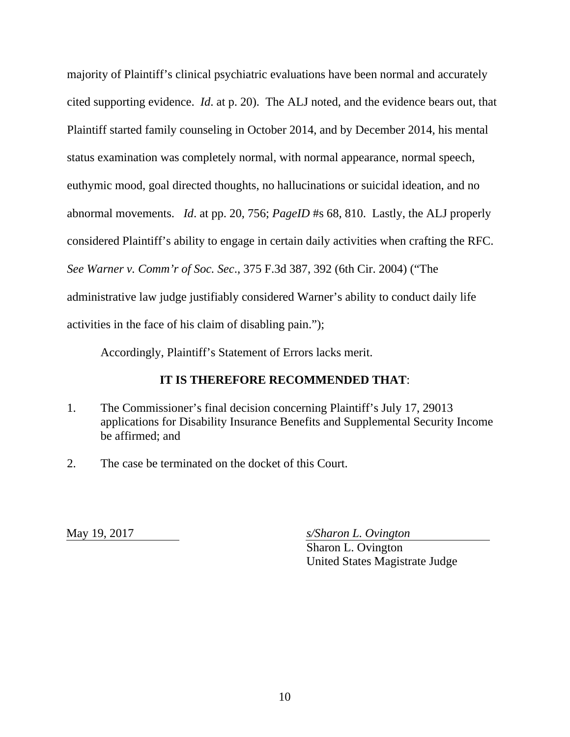majority of Plaintiff's clinical psychiatric evaluations have been normal and accurately cited supporting evidence. *Id*. at p. 20). The ALJ noted, and the evidence bears out, that Plaintiff started family counseling in October 2014, and by December 2014, his mental status examination was completely normal, with normal appearance, normal speech, euthymic mood, goal directed thoughts, no hallucinations or suicidal ideation, and no abnormal movements. *Id*. at pp. 20, 756; *PageID* #s 68, 810. Lastly, the ALJ properly considered Plaintiff's ability to engage in certain daily activities when crafting the RFC. *See Warner v. Comm'r of Soc. Sec*., 375 F.3d 387, 392 (6th Cir. 2004) ("The administrative law judge justifiably considered Warner's ability to conduct daily life activities in the face of his claim of disabling pain.");

Accordingly, Plaintiff's Statement of Errors lacks merit.

## **IT IS THEREFORE RECOMMENDED THAT**:

- 1. The Commissioner's final decision concerning Plaintiff's July 17, 29013 applications for Disability Insurance Benefits and Supplemental Security Income be affirmed; and
- 2. The case be terminated on the docket of this Court.

May 19, 2017 *s/Sharon L. Ovington* 

 Sharon L. Ovington United States Magistrate Judge